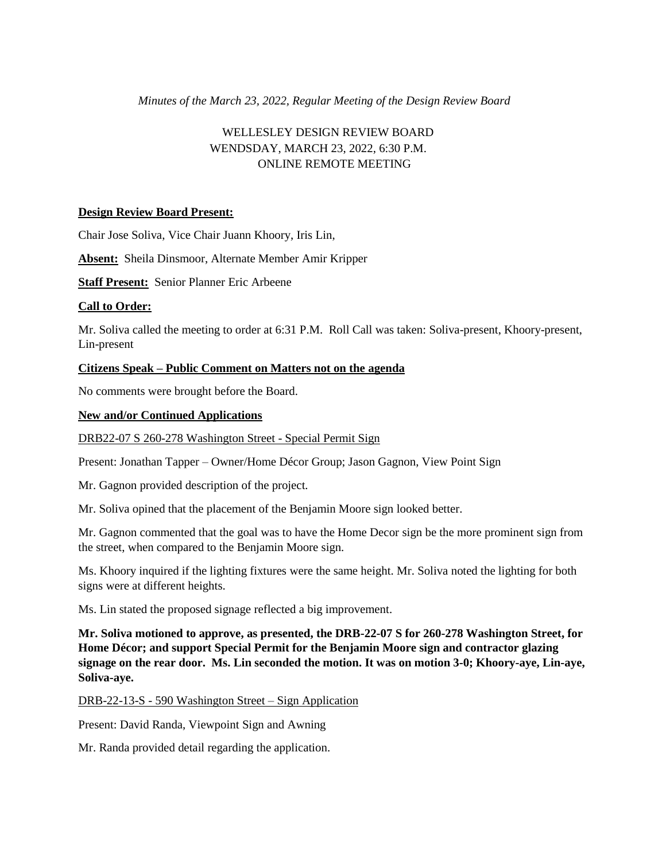# *Minutes of the March 23, 2022, Regular Meeting of the Design Review Board*

# WELLESLEY DESIGN REVIEW BOARD WENDSDAY, MARCH 23, 2022, 6:30 P.M. ONLINE REMOTE MEETING

## **Design Review Board Present:**

Chair Jose Soliva, Vice Chair Juann Khoory, Iris Lin,

**Absent:** Sheila Dinsmoor, Alternate Member Amir Kripper

**Staff Present:** Senior Planner Eric Arbeene

## **Call to Order:**

Mr. Soliva called the meeting to order at 6:31 P.M. Roll Call was taken: Soliva-present, Khoory-present, Lin-present

## **Citizens Speak – Public Comment on Matters not on the agenda**

No comments were brought before the Board.

## **New and/or Continued Applications**

DRB22-07 S 260-278 Washington Street - Special Permit Sign

Present: Jonathan Tapper – Owner/Home Décor Group; Jason Gagnon, View Point Sign

Mr. Gagnon provided description of the project.

Mr. Soliva opined that the placement of the Benjamin Moore sign looked better.

Mr. Gagnon commented that the goal was to have the Home Decor sign be the more prominent sign from the street, when compared to the Benjamin Moore sign.

Ms. Khoory inquired if the lighting fixtures were the same height. Mr. Soliva noted the lighting for both signs were at different heights.

Ms. Lin stated the proposed signage reflected a big improvement.

**Mr. Soliva motioned to approve, as presented, the DRB-22-07 S for 260-278 Washington Street, for Home Décor; and support Special Permit for the Benjamin Moore sign and contractor glazing signage on the rear door. Ms. Lin seconded the motion. It was on motion 3-0; Khoory-aye, Lin-aye, Soliva-aye.** 

DRB-22-13-S - 590 Washington Street – Sign Application

Present: David Randa, Viewpoint Sign and Awning

Mr. Randa provided detail regarding the application.